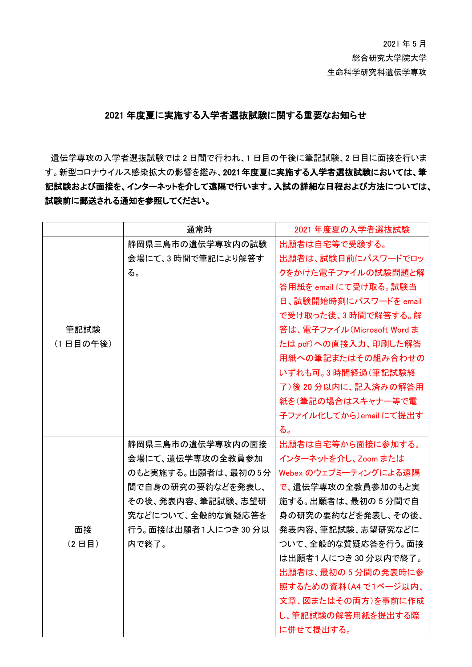2021 年 5 月 総合研究大学院大学 生命科学研究科遺伝学専攻

## 2021 年度夏に実施する入学者選抜試験に関する重要なお知らせ

遺伝学専攻の入学者選抜試験では 2 日間で行われ、1 日目の午後に筆記試験、2 日目に面接を行いま す。新型コロナウイルス感染拡大の影響を鑑み、2021年度夏に実施する入学者選抜試験においては、筆 記試験および面接を、インターネットを介して遠隔で行います。入試の詳細な日程および方法については、 試験前に郵送される通知を参照してください。

|          | 通常時                  | 2021 年度夏の入学者選抜試験            |
|----------|----------------------|-----------------------------|
|          | 静岡県三島市の遺伝学専攻内の試験     | 出願者は自宅等で受験する。               |
|          | 会場にて、3時間で筆記により解答す    | 出願者は、試験日前にパスワードでロッ          |
|          | る。                   | クをかけた電子ファイルの試験問題と解          |
|          |                      | 答用紙を email にて受け取る。試験当       |
|          |                      | 日、試験開始時刻にパスワードを email       |
|          |                      | で受け取った後、3時間で解答する。解          |
| 筆記試験     |                      | 答は、電子ファイル (Microsoft Word ま |
| (1日目の午後) |                      | たは pdf)への直接入力、印刷した解答        |
|          |                      | 用紙への筆記またはその組み合わせの           |
|          |                      | いずれも可。3時間経過(筆記試験終           |
|          |                      | 了) 後 20 分以内に、記入済みの解答用       |
|          |                      | 紙を(筆記の場合はスキャナー等で電           |
|          |                      | 子ファイル化してから)emailにて提出す       |
|          |                      | る。                          |
|          | 静岡県三島市の遺伝学専攻内の面接     | 出願者は自宅等から面接に参加する。           |
|          | 会場にて、遺伝学専攻の全教員参加     | インターネットを介し、Zoom または         |
|          | のもと実施する。出願者は、最初の5分   | Webex のウェブミーティングによる遠隔       |
|          | 間で自身の研究の要約などを発表し、    | で、遺伝学専攻の全教員参加のもと実           |
|          | その後、発表内容、筆記試験、志望研    | 施する。出願者は、最初の5分間で自           |
|          | 究などについて、全般的な質疑応答を    | 身の研究の要約などを発表し、その後、          |
| 面接       | 行う。面接は出願者1人につき 30 分以 | 発表内容、筆記試験、志望研究などに           |
| (2日目)    | 内で終了。                | ついて、全般的な質疑応答を行う。面接          |
|          |                      | は出願者1人につき30分以内で終了。          |
|          |                      | 出願者は、最初の5分間の発表時に参           |
|          |                      | 照するための資料 (A4 で1ページ以内、       |
|          |                      | 文章、図またはその両方)を事前に作成          |
|          |                      | し、筆記試験の解答用紙を提出する際           |
|          |                      | に併せて提出する。                   |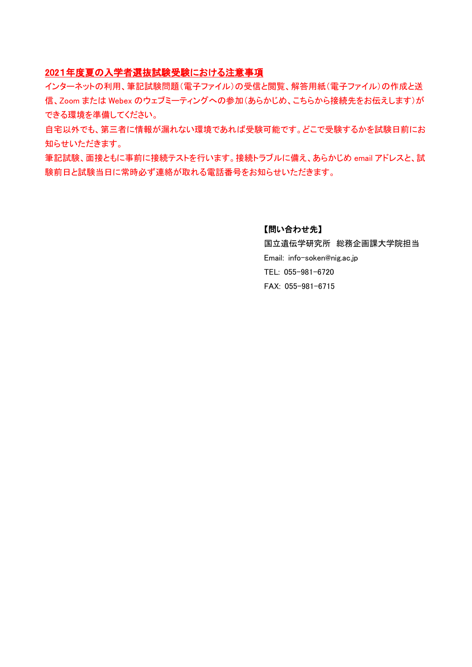## 2021年度夏の入学者選抜試験受験における注意事項

インターネットの利用、筆記試験問題(電子ファイル)の受信と閲覧、解答用紙(電子ファイル)の作成と送 信、Zoom または Webex のウェブミーティングへの参加(あらかじめ、こちらから接続先をお伝えします)が できる環境を準備してください。

自宅以外でも、第三者に情報が漏れない環境であれば受験可能です。どこで受験するかを試験日前にお 知らせいただきます。

筆記試験、面接ともに事前に接続テストを行います。接続トラブルに備え、あらかじめ email アドレスと、試 験前日と試験当日に常時必ず連絡が取れる電話番号をお知らせいただきます。

### 【問い合わせ先】

国立遺伝学研究所 総務企画課大学院担当 Email: info-soken@nig.ac.jp TEL: 055-981-6720 FAX: 055-981-6715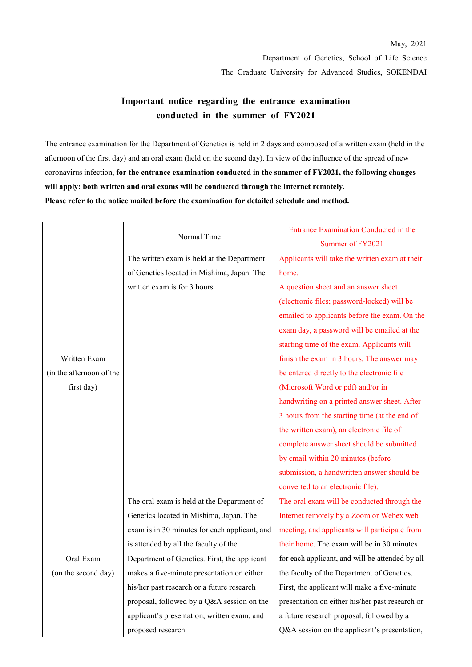# **Important notice regarding the entrance examination conducted in the summer of FY2021**

The entrance examination for the Department of Genetics is held in 2 days and composed of a written exam (held in the afternoon of the first day) and an oral exam (held on the second day). In view of the influence of the spread of new coronavirus infection, **for the entrance examination conducted in the summer of FY2021, the following changes will apply: both written and oral exams will be conducted through the Internet remotely. Please refer to the notice mailed before the examination for detailed schedule and method.**

|                          | Normal Time                                   | Entrance Examination Conducted in the<br>Summer of FY2021 |
|--------------------------|-----------------------------------------------|-----------------------------------------------------------|
|                          | The written exam is held at the Department    | Applicants will take the written exam at their            |
|                          | of Genetics located in Mishima, Japan. The    | home.                                                     |
|                          | written exam is for 3 hours.                  | A question sheet and an answer sheet                      |
|                          |                                               | (electronic files; password-locked) will be               |
|                          |                                               | emailed to applicants before the exam. On the             |
|                          |                                               | exam day, a password will be emailed at the               |
|                          |                                               | starting time of the exam. Applicants will                |
| Written Exam             |                                               | finish the exam in 3 hours. The answer may                |
| (in the afternoon of the |                                               | be entered directly to the electronic file                |
| first day)               |                                               | (Microsoft Word or pdf) and/or in                         |
|                          |                                               | handwriting on a printed answer sheet. After              |
|                          |                                               | 3 hours from the starting time (at the end of             |
|                          |                                               |                                                           |
|                          |                                               | the written exam), an electronic file of                  |
|                          |                                               | complete answer sheet should be submitted                 |
|                          |                                               | by email within 20 minutes (before                        |
|                          |                                               | submission, a handwritten answer should be                |
|                          |                                               | converted to an electronic file).                         |
|                          | The oral exam is held at the Department of    | The oral exam will be conducted through the               |
|                          | Genetics located in Mishima, Japan. The       | Internet remotely by a Zoom or Webex web                  |
|                          | exam is in 30 minutes for each applicant, and | meeting, and applicants will participate from             |
|                          | is attended by all the faculty of the         | their home. The exam will be in 30 minutes                |
| Oral Exam                | Department of Genetics. First, the applicant  | for each applicant, and will be attended by all           |
| (on the second day)      | makes a five-minute presentation on either    | the faculty of the Department of Genetics.                |
|                          | his/her past research or a future research    | First, the applicant will make a five-minute              |
|                          | proposal, followed by a Q&A session on the    | presentation on either his/her past research or           |
|                          | applicant's presentation, written exam, and   | a future research proposal, followed by a                 |
|                          | proposed research.                            | Q&A session on the applicant's presentation,              |